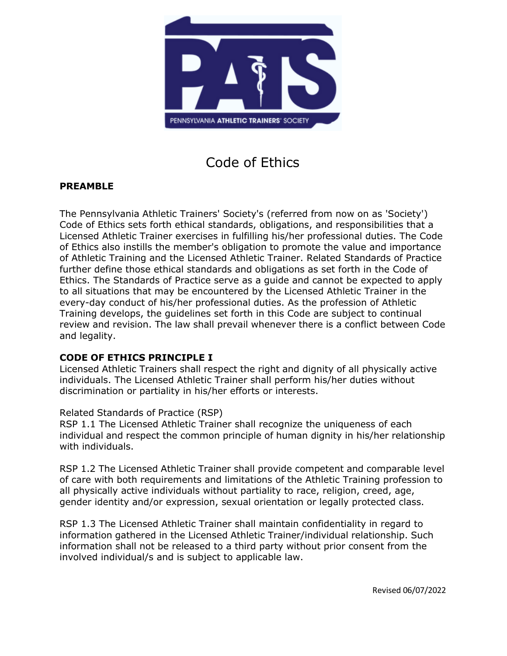

Code of Ethics

## **PREAMBLE**

The Pennsylvania Athletic Trainers' Society's (referred from now on as 'Society') Code of Ethics sets forth ethical standards, obligations, and responsibilities that a Licensed Athletic Trainer exercises in fulfilling his/her professional duties. The Code of Ethics also instills the member's obligation to promote the value and importance of Athletic Training and the Licensed Athletic Trainer. Related Standards of Practice further define those ethical standards and obligations as set forth in the Code of Ethics. The Standards of Practice serve as a guide and cannot be expected to apply to all situations that may be encountered by the Licensed Athletic Trainer in the every-day conduct of his/her professional duties. As the profession of Athletic Training develops, the guidelines set forth in this Code are subject to continual review and revision. The law shall prevail whenever there is a conflict between Code and legality.

#### **CODE OF ETHICS PRINCIPLE I**

Licensed Athletic Trainers shall respect the right and dignity of all physically active individuals. The Licensed Athletic Trainer shall perform his/her duties without discrimination or partiality in his/her efforts or interests.

#### Related Standards of Practice (RSP)

RSP 1.1 The Licensed Athletic Trainer shall recognize the uniqueness of each individual and respect the common principle of human dignity in his/her relationship with individuals.

RSP 1.2 The Licensed Athletic Trainer shall provide competent and comparable level of care with both requirements and limitations of the Athletic Training profession to all physically active individuals without partiality to race, religion, creed, age, gender identity and/or expression, sexual orientation or legally protected class.

RSP 1.3 The Licensed Athletic Trainer shall maintain confidentiality in regard to information gathered in the Licensed Athletic Trainer/individual relationship. Such information shall not be released to a third party without prior consent from the involved individual/s and is subject to applicable law.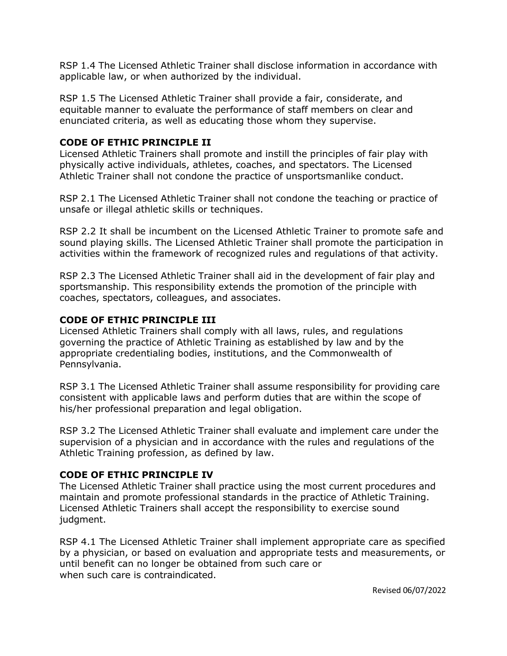RSP 1.4 The Licensed Athletic Trainer shall disclose information in accordance with applicable law, or when authorized by the individual.

RSP 1.5 The Licensed Athletic Trainer shall provide a fair, considerate, and equitable manner to evaluate the performance of staff members on clear and enunciated criteria, as well as educating those whom they supervise.

## **CODE OF ETHIC PRINCIPLE II**

Licensed Athletic Trainers shall promote and instill the principles of fair play with physically active individuals, athletes, coaches, and spectators. The Licensed Athletic Trainer shall not condone the practice of unsportsmanlike conduct.

RSP 2.1 The Licensed Athletic Trainer shall not condone the teaching or practice of unsafe or illegal athletic skills or techniques.

RSP 2.2 It shall be incumbent on the Licensed Athletic Trainer to promote safe and sound playing skills. The Licensed Athletic Trainer shall promote the participation in activities within the framework of recognized rules and regulations of that activity.

RSP 2.3 The Licensed Athletic Trainer shall aid in the development of fair play and sportsmanship. This responsibility extends the promotion of the principle with coaches, spectators, colleagues, and associates.

## **CODE OF ETHIC PRINCIPLE III**

Licensed Athletic Trainers shall comply with all laws, rules, and regulations governing the practice of Athletic Training as established by law and by the appropriate credentialing bodies, institutions, and the Commonwealth of Pennsylvania.

RSP 3.1 The Licensed Athletic Trainer shall assume responsibility for providing care consistent with applicable laws and perform duties that are within the scope of his/her professional preparation and legal obligation.

RSP 3.2 The Licensed Athletic Trainer shall evaluate and implement care under the supervision of a physician and in accordance with the rules and regulations of the Athletic Training profession, as defined by law.

#### **CODE OF ETHIC PRINCIPLE IV**

The Licensed Athletic Trainer shall practice using the most current procedures and maintain and promote professional standards in the practice of Athletic Training. Licensed Athletic Trainers shall accept the responsibility to exercise sound judgment.

RSP 4.1 The Licensed Athletic Trainer shall implement appropriate care as specified by a physician, or based on evaluation and appropriate tests and measurements, or until benefit can no longer be obtained from such care or when such care is contraindicated.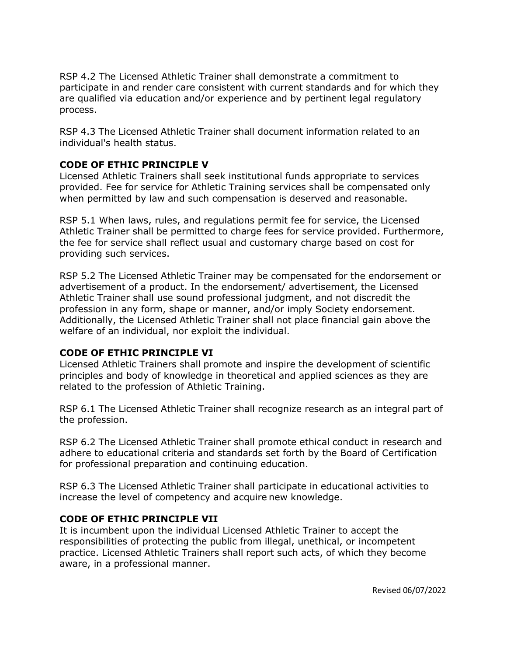RSP 4.2 The Licensed Athletic Trainer shall demonstrate a commitment to participate in and render care consistent with current standards and for which they are qualified via education and/or experience and by pertinent legal regulatory process.

RSP 4.3 The Licensed Athletic Trainer shall document information related to an individual's health status.

## **CODE OF ETHIC PRINCIPLE V**

Licensed Athletic Trainers shall seek institutional funds appropriate to services provided. Fee for service for Athletic Training services shall be compensated only when permitted by law and such compensation is deserved and reasonable.

RSP 5.1 When laws, rules, and regulations permit fee for service, the Licensed Athletic Trainer shall be permitted to charge fees for service provided. Furthermore, the fee for service shall reflect usual and customary charge based on cost for providing such services.

RSP 5.2 The Licensed Athletic Trainer may be compensated for the endorsement or advertisement of a product. In the endorsement/ advertisement, the Licensed Athletic Trainer shall use sound professional judgment, and not discredit the profession in any form, shape or manner, and/or imply Society endorsement. Additionally, the Licensed Athletic Trainer shall not place financial gain above the welfare of an individual, nor exploit the individual.

# **CODE OF ETHIC PRINCIPLE VI**

Licensed Athletic Trainers shall promote and inspire the development of scientific principles and body of knowledge in theoretical and applied sciences as they are related to the profession of Athletic Training.

RSP 6.1 The Licensed Athletic Trainer shall recognize research as an integral part of the profession.

RSP 6.2 The Licensed Athletic Trainer shall promote ethical conduct in research and adhere to educational criteria and standards set forth by the Board of Certification for professional preparation and continuing education.

RSP 6.3 The Licensed Athletic Trainer shall participate in educational activities to increase the level of competency and acquire new knowledge.

#### **CODE OF ETHIC PRINCIPLE VII**

It is incumbent upon the individual Licensed Athletic Trainer to accept the responsibilities of protecting the public from illegal, unethical, or incompetent practice. Licensed Athletic Trainers shall report such acts, of which they become aware, in a professional manner.